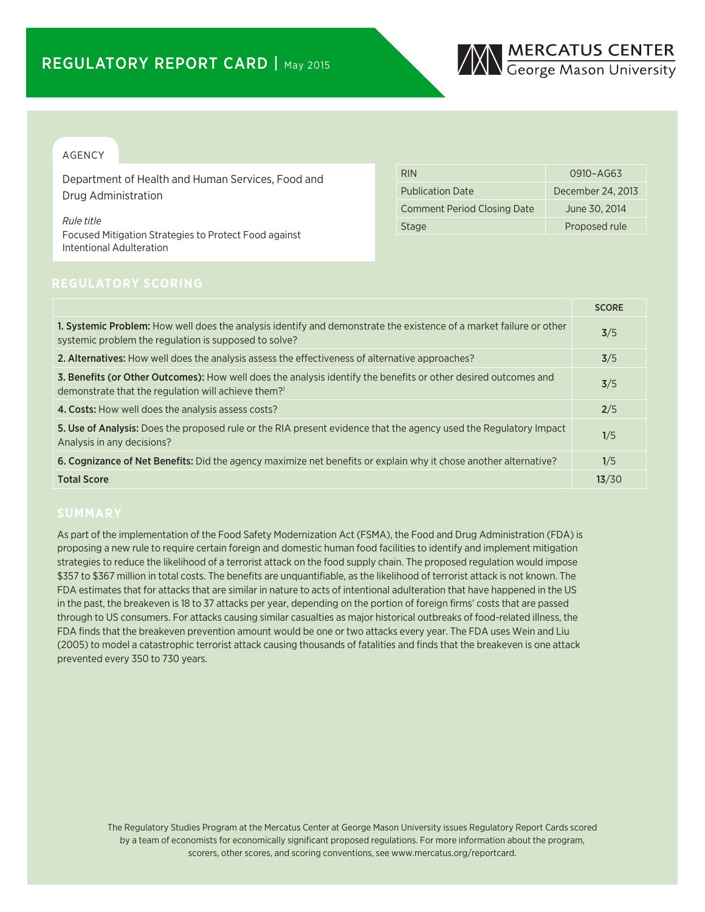

### AGENCY

Department of Health and Human Services, Food and Drug Administration

*Rule title* Focused Mitigation Strategies to Protect Food against Intentional Adulteration

| <b>RIN</b>                         | 0910-AG63         |
|------------------------------------|-------------------|
| <b>Publication Date</b>            | December 24, 2013 |
| <b>Comment Period Closing Date</b> | June 30, 2014     |
| <b>Stage</b>                       | Proposed rule     |

|                                                                                                                                                                                    | <b>SCORE</b> |
|------------------------------------------------------------------------------------------------------------------------------------------------------------------------------------|--------------|
| 1. Systemic Problem: How well does the analysis identify and demonstrate the existence of a market failure or other<br>systemic problem the regulation is supposed to solve?       | 3/5          |
| 2. Alternatives: How well does the analysis assess the effectiveness of alternative approaches?                                                                                    | 3/5          |
| 3. Benefits (or Other Outcomes): How well does the analysis identify the benefits or other desired outcomes and<br>demonstrate that the regulation will achieve them? <sup>1</sup> | 3/5          |
| 4. Costs: How well does the analysis assess costs?                                                                                                                                 | 2/5          |
| 5. Use of Analysis: Does the proposed rule or the RIA present evidence that the agency used the Regulatory Impact<br>Analysis in any decisions?                                    | 1/5          |
| 6. Cognizance of Net Benefits: Did the agency maximize net benefits or explain why it chose another alternative?                                                                   | 1/5          |
| <b>Total Score</b>                                                                                                                                                                 | 13/30        |

As part of the implementation of the Food Safety Modernization Act (FSMA), the Food and Drug Administration (FDA) is proposing a new rule to require certain foreign and domestic human food facilities to identify and implement mitigation strategies to reduce the likelihood of a terrorist attack on the food supply chain. The proposed regulation would impose \$357 to \$367 million in total costs. The benefits are unquantifiable, as the likelihood of terrorist attack is not known. The FDA estimates that for attacks that are similar in nature to acts of intentional adulteration that have happened in the US in the past, the breakeven is 18 to 37 attacks per year, depending on the portion of foreign firms' costs that are passed through to US consumers. For attacks causing similar casualties as major historical outbreaks of food-related illness, the FDA finds that the breakeven prevention amount would be one or two attacks every year. The FDA uses Wein and Liu (2005) to model a catastrophic terrorist attack causing thousands of fatalities and finds that the breakeven is one attack prevented every 350 to 730 years.

The Regulatory Studies Program at the Mercatus Center at George Mason University issues Regulatory Report Cards scored by a team of economists for economically significant proposed regulations. For more information about the program, scorers, other scores, and scoring conventions, see www.mercatus.org/reportcard.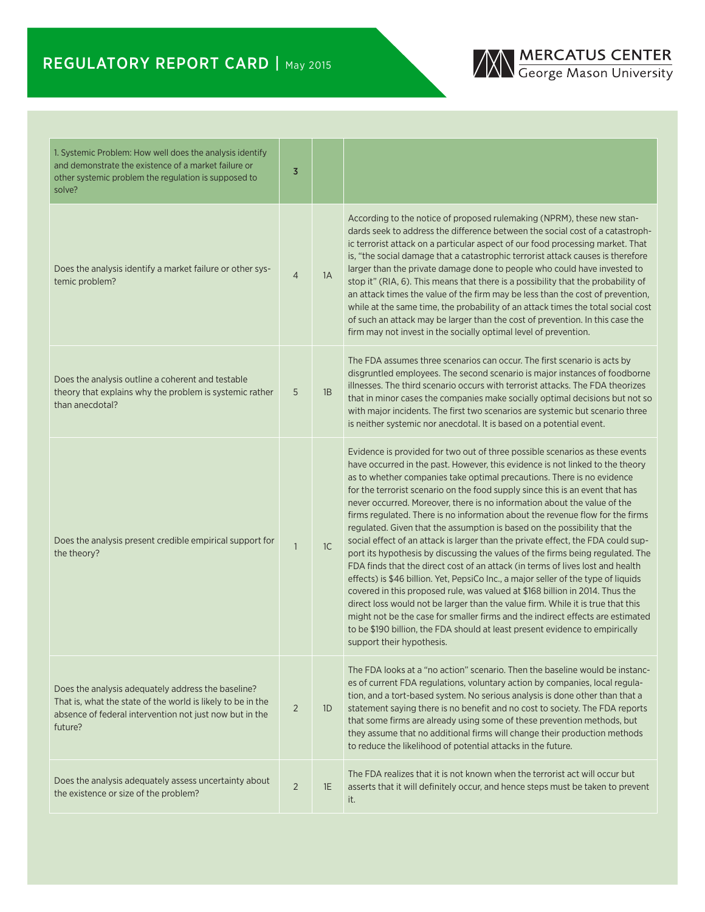## REGULATORY REPORT CARD | May 2015

# **MERCATUS CENTER**<br>George Mason University

| 1. Systemic Problem: How well does the analysis identify<br>and demonstrate the existence of a market failure or<br>other systemic problem the regulation is supposed to<br>solve?      | $\overline{3}$ |    |                                                                                                                                                                                                                                                                                                                                                                                                                                                                                                                                                                                                                                                                                                                                                                                                                                                                                                                                                                                                                                                                                                                                                                                                                                                                                    |
|-----------------------------------------------------------------------------------------------------------------------------------------------------------------------------------------|----------------|----|------------------------------------------------------------------------------------------------------------------------------------------------------------------------------------------------------------------------------------------------------------------------------------------------------------------------------------------------------------------------------------------------------------------------------------------------------------------------------------------------------------------------------------------------------------------------------------------------------------------------------------------------------------------------------------------------------------------------------------------------------------------------------------------------------------------------------------------------------------------------------------------------------------------------------------------------------------------------------------------------------------------------------------------------------------------------------------------------------------------------------------------------------------------------------------------------------------------------------------------------------------------------------------|
| Does the analysis identify a market failure or other sys-<br>temic problem?                                                                                                             | $\overline{4}$ | 1A | According to the notice of proposed rulemaking (NPRM), these new stan-<br>dards seek to address the difference between the social cost of a catastroph-<br>ic terrorist attack on a particular aspect of our food processing market. That<br>is, "the social damage that a catastrophic terrorist attack causes is therefore<br>larger than the private damage done to people who could have invested to<br>stop it" (RIA, 6). This means that there is a possibility that the probability of<br>an attack times the value of the firm may be less than the cost of prevention,<br>while at the same time, the probability of an attack times the total social cost<br>of such an attack may be larger than the cost of prevention. In this case the<br>firm may not invest in the socially optimal level of prevention.                                                                                                                                                                                                                                                                                                                                                                                                                                                           |
| Does the analysis outline a coherent and testable<br>theory that explains why the problem is systemic rather<br>than anecdotal?                                                         | 5              | 1B | The FDA assumes three scenarios can occur. The first scenario is acts by<br>disgruntled employees. The second scenario is major instances of foodborne<br>illnesses. The third scenario occurs with terrorist attacks. The FDA theorizes<br>that in minor cases the companies make socially optimal decisions but not so<br>with major incidents. The first two scenarios are systemic but scenario three<br>is neither systemic nor anecdotal. It is based on a potential event.                                                                                                                                                                                                                                                                                                                                                                                                                                                                                                                                                                                                                                                                                                                                                                                                  |
| Does the analysis present credible empirical support for<br>the theory?                                                                                                                 | $\overline{1}$ | 1C | Evidence is provided for two out of three possible scenarios as these events<br>have occurred in the past. However, this evidence is not linked to the theory<br>as to whether companies take optimal precautions. There is no evidence<br>for the terrorist scenario on the food supply since this is an event that has<br>never occurred. Moreover, there is no information about the value of the<br>firms regulated. There is no information about the revenue flow for the firms<br>regulated. Given that the assumption is based on the possibility that the<br>social effect of an attack is larger than the private effect, the FDA could sup-<br>port its hypothesis by discussing the values of the firms being regulated. The<br>FDA finds that the direct cost of an attack (in terms of lives lost and health<br>effects) is \$46 billion. Yet, PepsiCo Inc., a major seller of the type of liquids<br>covered in this proposed rule, was valued at \$168 billion in 2014. Thus the<br>direct loss would not be larger than the value firm. While it is true that this<br>might not be the case for smaller firms and the indirect effects are estimated<br>to be \$190 billion, the FDA should at least present evidence to empirically<br>support their hypothesis. |
| Does the analysis adequately address the baseline?<br>That is, what the state of the world is likely to be in the<br>absence of federal intervention not just now but in the<br>future? | 2              | 1D | The FDA looks at a "no action" scenario. Then the baseline would be instanc-<br>es of current FDA regulations, voluntary action by companies, local regula-<br>tion, and a tort-based system. No serious analysis is done other than that a<br>statement saying there is no benefit and no cost to society. The FDA reports<br>that some firms are already using some of these prevention methods, but<br>they assume that no additional firms will change their production methods<br>to reduce the likelihood of potential attacks in the future.                                                                                                                                                                                                                                                                                                                                                                                                                                                                                                                                                                                                                                                                                                                                |
| Does the analysis adequately assess uncertainty about<br>the existence or size of the problem?                                                                                          | $\overline{2}$ | 1E | The FDA realizes that it is not known when the terrorist act will occur but<br>asserts that it will definitely occur, and hence steps must be taken to prevent<br>it.                                                                                                                                                                                                                                                                                                                                                                                                                                                                                                                                                                                                                                                                                                                                                                                                                                                                                                                                                                                                                                                                                                              |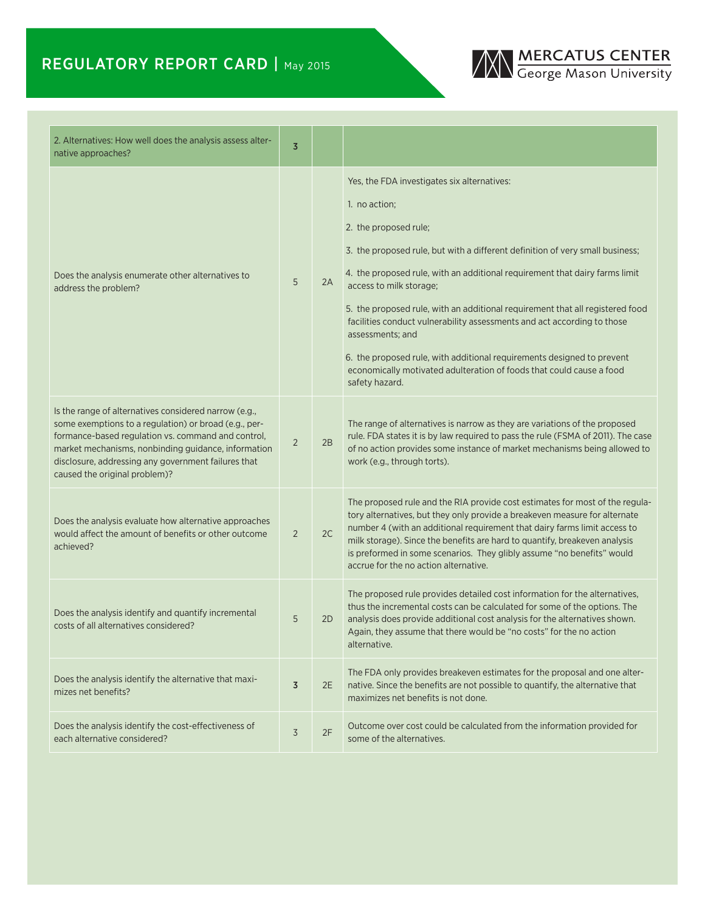## REGULATORY REPORT CARD | May 2015



| 2. Alternatives: How well does the analysis assess alter-<br>native approaches?                                                                                                                                                                                                                                     | $\overline{3}$ |    |                                                                                                                                                                                                                                                                                                                                                                                                                                                                                                                                                                                                                                      |
|---------------------------------------------------------------------------------------------------------------------------------------------------------------------------------------------------------------------------------------------------------------------------------------------------------------------|----------------|----|--------------------------------------------------------------------------------------------------------------------------------------------------------------------------------------------------------------------------------------------------------------------------------------------------------------------------------------------------------------------------------------------------------------------------------------------------------------------------------------------------------------------------------------------------------------------------------------------------------------------------------------|
| Does the analysis enumerate other alternatives to<br>address the problem?                                                                                                                                                                                                                                           | 5              | 2A | Yes, the FDA investigates six alternatives:<br>1. no action;<br>2. the proposed rule;<br>3. the proposed rule, but with a different definition of very small business;<br>4. the proposed rule, with an additional requirement that dairy farms limit<br>access to milk storage;<br>5. the proposed rule, with an additional requirement that all registered food<br>facilities conduct vulnerability assessments and act according to those<br>assessments; and<br>6. the proposed rule, with additional requirements designed to prevent<br>economically motivated adulteration of foods that could cause a food<br>safety hazard. |
| Is the range of alternatives considered narrow (e.g.,<br>some exemptions to a regulation) or broad (e.g., per-<br>formance-based regulation vs. command and control,<br>market mechanisms, nonbinding guidance, information<br>disclosure, addressing any government failures that<br>caused the original problem)? | 2              | 2B | The range of alternatives is narrow as they are variations of the proposed<br>rule. FDA states it is by law required to pass the rule (FSMA of 2011). The case<br>of no action provides some instance of market mechanisms being allowed to<br>work (e.g., through torts).                                                                                                                                                                                                                                                                                                                                                           |
| Does the analysis evaluate how alternative approaches<br>would affect the amount of benefits or other outcome<br>achieved?                                                                                                                                                                                          | $\overline{2}$ | 2C | The proposed rule and the RIA provide cost estimates for most of the regula-<br>tory alternatives, but they only provide a breakeven measure for alternate<br>number 4 (with an additional requirement that dairy farms limit access to<br>milk storage). Since the benefits are hard to quantify, breakeven analysis<br>is preformed in some scenarios. They glibly assume "no benefits" would<br>accrue for the no action alternative.                                                                                                                                                                                             |
| Does the analysis identify and quantify incremental<br>costs of all alternatives considered?                                                                                                                                                                                                                        | 5              | 2D | The proposed rule provides detailed cost information for the alternatives,<br>thus the incremental costs can be calculated for some of the options. The<br>analysis does provide additional cost analysis for the alternatives shown.<br>Again, they assume that there would be "no costs" for the no action<br>alternative.                                                                                                                                                                                                                                                                                                         |
| Does the analysis identify the alternative that maxi-<br>mizes net benefits?                                                                                                                                                                                                                                        | $\overline{3}$ | 2E | The FDA only provides breakeven estimates for the proposal and one alter-<br>native. Since the benefits are not possible to quantify, the alternative that<br>maximizes net benefits is not done.                                                                                                                                                                                                                                                                                                                                                                                                                                    |
| Does the analysis identify the cost-effectiveness of<br>each alternative considered?                                                                                                                                                                                                                                | $\overline{3}$ | 2F | Outcome over cost could be calculated from the information provided for<br>some of the alternatives.                                                                                                                                                                                                                                                                                                                                                                                                                                                                                                                                 |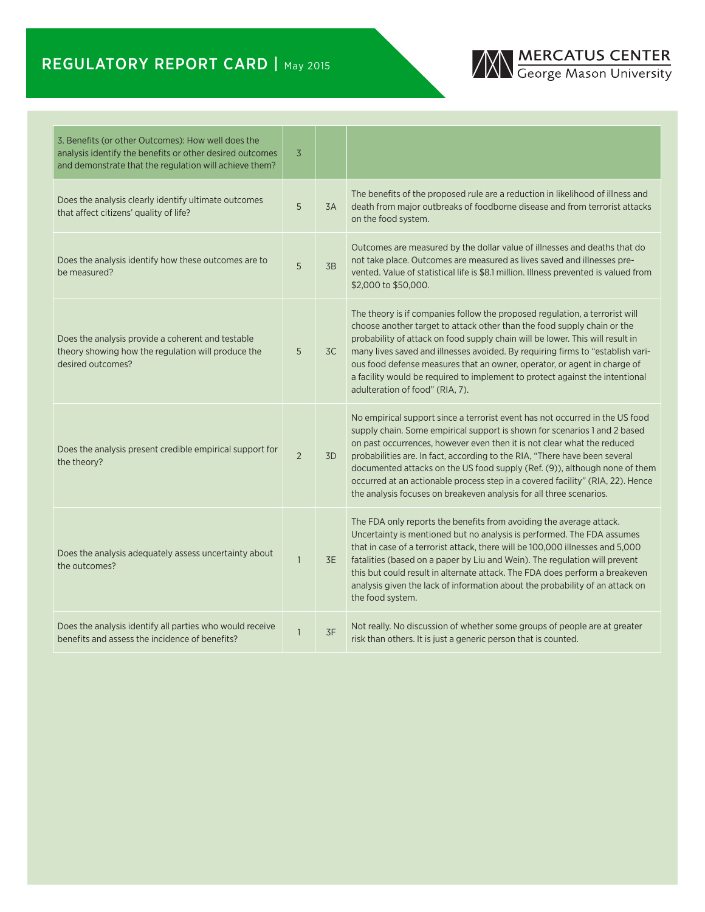## REGULATORY REPORT CARD | May 2015



| 3. Benefits (or other Outcomes): How well does the<br>analysis identify the benefits or other desired outcomes<br>and demonstrate that the regulation will achieve them? | $\overline{3}$ |                |                                                                                                                                                                                                                                                                                                                                                                                                                                                                                                                                                           |
|--------------------------------------------------------------------------------------------------------------------------------------------------------------------------|----------------|----------------|-----------------------------------------------------------------------------------------------------------------------------------------------------------------------------------------------------------------------------------------------------------------------------------------------------------------------------------------------------------------------------------------------------------------------------------------------------------------------------------------------------------------------------------------------------------|
| Does the analysis clearly identify ultimate outcomes<br>that affect citizens' quality of life?                                                                           | 5              | 3A             | The benefits of the proposed rule are a reduction in likelihood of illness and<br>death from major outbreaks of foodborne disease and from terrorist attacks<br>on the food system.                                                                                                                                                                                                                                                                                                                                                                       |
| Does the analysis identify how these outcomes are to<br>be measured?                                                                                                     | 5              | 3B             | Outcomes are measured by the dollar value of illnesses and deaths that do<br>not take place. Outcomes are measured as lives saved and illnesses pre-<br>vented. Value of statistical life is \$8.1 million. Illness prevented is valued from<br>\$2,000 to \$50,000.                                                                                                                                                                                                                                                                                      |
| Does the analysis provide a coherent and testable<br>theory showing how the regulation will produce the<br>desired outcomes?                                             | 5              | 3C             | The theory is if companies follow the proposed regulation, a terrorist will<br>choose another target to attack other than the food supply chain or the<br>probability of attack on food supply chain will be lower. This will result in<br>many lives saved and illnesses avoided. By requiring firms to "establish vari-<br>ous food defense measures that an owner, operator, or agent in charge of<br>a facility would be required to implement to protect against the intentional<br>adulteration of food" (RIA, 7).                                  |
| Does the analysis present credible empirical support for<br>the theory?                                                                                                  | $\overline{2}$ | 3 <sub>D</sub> | No empirical support since a terrorist event has not occurred in the US food<br>supply chain. Some empirical support is shown for scenarios 1 and 2 based<br>on past occurrences, however even then it is not clear what the reduced<br>probabilities are. In fact, according to the RIA, "There have been several<br>documented attacks on the US food supply (Ref. (9)), although none of them<br>occurred at an actionable process step in a covered facility" (RIA, 22). Hence<br>the analysis focuses on breakeven analysis for all three scenarios. |
| Does the analysis adequately assess uncertainty about<br>the outcomes?                                                                                                   | $\mathbf{1}$   | 3E             | The FDA only reports the benefits from avoiding the average attack.<br>Uncertainty is mentioned but no analysis is performed. The FDA assumes<br>that in case of a terrorist attack, there will be 100,000 illnesses and 5,000<br>fatalities (based on a paper by Liu and Wein). The regulation will prevent<br>this but could result in alternate attack. The FDA does perform a breakeven<br>analysis given the lack of information about the probability of an attack on<br>the food system.                                                           |
| Does the analysis identify all parties who would receive<br>benefits and assess the incidence of benefits?                                                               | $\mathbf{1}$   | 3F             | Not really. No discussion of whether some groups of people are at greater<br>risk than others. It is just a generic person that is counted.                                                                                                                                                                                                                                                                                                                                                                                                               |